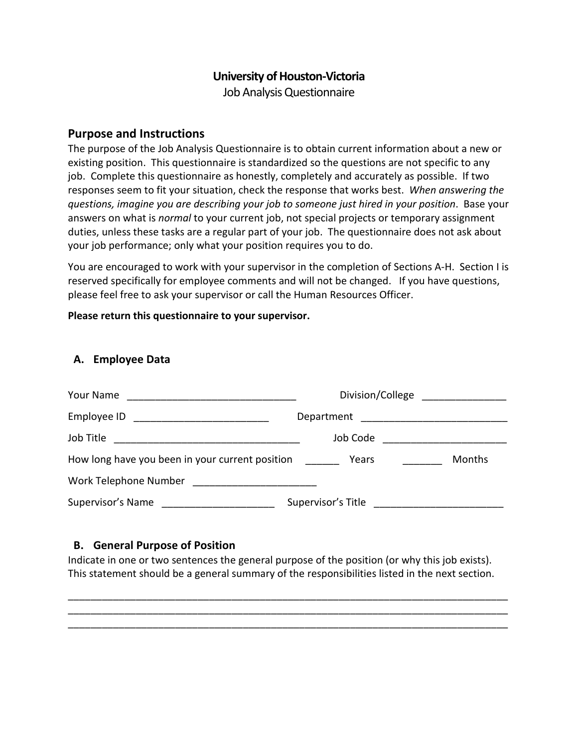## **University of Houston-Victoria**

Job Analysis Questionnaire

### **Purpose and Instructions**

The purpose of the Job Analysis Questionnaire is to obtain current information about a new or existing position. This questionnaire is standardized so the questions are not specific to any job. Complete this questionnaire as honestly, completely and accurately as possible. If two responses seem to fit your situation, check the response that works best. *When answering the questions, imagine you are describing your job to someone just hired in your position*. Base your answers on what is *normal* to your current job, not special projects or temporary assignment duties, unless these tasks are a regular part of your job. The questionnaire does not ask about your job performance; only what your position requires you to do.

You are encouraged to work with your supervisor in the completion of Sections A-H. Section I is reserved specifically for employee comments and will not be changed. If you have questions, please feel free to ask your supervisor or call the Human Resources Officer.

### **Please return this questionnaire to your supervisor.**

### **A. Employee Data**

| Your Name                                                                                  | Division/College                      |        |
|--------------------------------------------------------------------------------------------|---------------------------------------|--------|
| Employee ID                                                                                | Department ________________________   |        |
|                                                                                            | Job Code                              |        |
| How long have you been in your current position                                            | Years                                 | Months |
| Work Telephone Number North American States                                                |                                       |        |
| Supervisor's Name<br><u> 1980 - Jan Barbara Barbara, política esta española (n. 1918).</u> | Supervisor's Title Supervisor's Title |        |

### **B. General Purpose of Position**

Indicate in one or two sentences the general purpose of the position (or why this job exists). This statement should be a general summary of the responsibilities listed in the next section.

\_\_\_\_\_\_\_\_\_\_\_\_\_\_\_\_\_\_\_\_\_\_\_\_\_\_\_\_\_\_\_\_\_\_\_\_\_\_\_\_\_\_\_\_\_\_\_\_\_\_\_\_\_\_\_\_\_\_\_\_\_\_\_\_\_\_\_\_\_\_\_\_\_\_\_\_\_\_ \_\_\_\_\_\_\_\_\_\_\_\_\_\_\_\_\_\_\_\_\_\_\_\_\_\_\_\_\_\_\_\_\_\_\_\_\_\_\_\_\_\_\_\_\_\_\_\_\_\_\_\_\_\_\_\_\_\_\_\_\_\_\_\_\_\_\_\_\_\_\_\_\_\_\_\_\_\_ \_\_\_\_\_\_\_\_\_\_\_\_\_\_\_\_\_\_\_\_\_\_\_\_\_\_\_\_\_\_\_\_\_\_\_\_\_\_\_\_\_\_\_\_\_\_\_\_\_\_\_\_\_\_\_\_\_\_\_\_\_\_\_\_\_\_\_\_\_\_\_\_\_\_\_\_\_\_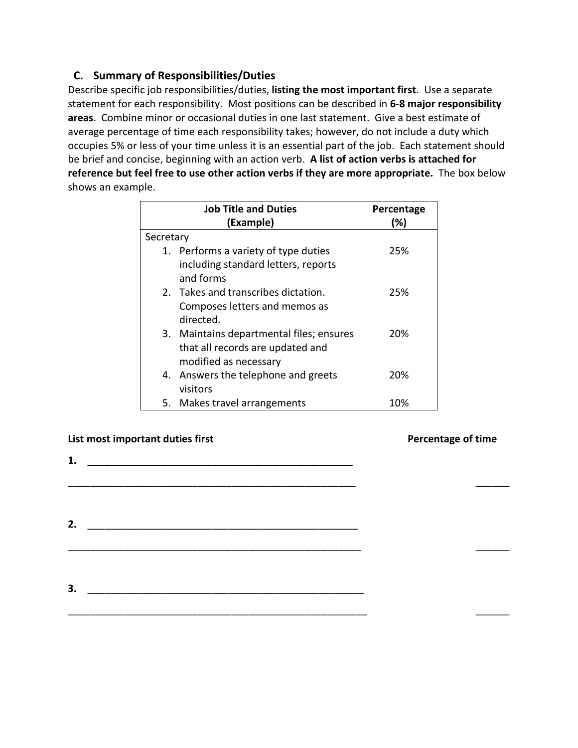# **C. Summary of Responsibilities/Duties**

Describe specific job responsibilities/duties, **listing the most important first**. Use a separate statement for each responsibility. Most positions can be described in **6-8 major responsibility areas**. Combine minor or occasional duties in one last statement. Give a best estimate of average percentage of time each responsibility takes; however, do not include a duty which occupies 5% or less of your time unless it is an essential part of the job. Each statement should be brief and concise, beginning with an action verb. **A list of action verbs is attached for reference but feel free to use other action verbs if they are more appropriate.** The box below shows an example.

|           | <b>Job Title and Duties</b>              | Percentage |
|-----------|------------------------------------------|------------|
|           | (Example)                                | (%)        |
| Secretary |                                          |            |
|           | 1. Performs a variety of type duties     | 25%        |
|           | including standard letters, reports      |            |
|           | and forms                                |            |
|           | 2. Takes and transcribes dictation.      | 25%        |
|           | Composes letters and memos as            |            |
|           | directed.                                |            |
|           | 3. Maintains departmental files; ensures | 20%        |
|           | that all records are updated and         |            |
|           | modified as necessary                    |            |
|           | 4. Answers the telephone and greets      | 20%        |
|           | visitors                                 |            |
|           | 5. Makes travel arrangements             | 10%        |

\_\_\_\_\_\_\_\_\_\_\_\_\_\_\_\_\_\_\_\_\_\_\_\_\_\_\_\_\_\_\_\_\_\_\_\_\_\_\_\_\_\_\_\_\_\_\_\_\_\_\_ \_\_\_\_\_\_

\_\_\_\_\_\_\_\_\_\_\_\_\_\_\_\_\_\_\_\_\_\_\_\_\_\_\_\_\_\_\_\_\_\_\_\_\_\_\_\_\_\_\_\_\_\_\_\_\_\_\_\_ \_\_\_\_\_\_

\_\_\_\_\_\_\_\_\_\_\_\_\_\_\_\_\_\_\_\_\_\_\_\_\_\_\_\_\_\_\_\_\_\_\_\_\_\_\_\_\_\_\_\_\_\_\_\_\_\_\_\_\_ \_\_\_\_\_\_

### **List most important duties first Percentage of time**

**3.** \_\_\_\_\_\_\_\_\_\_\_\_\_\_\_\_\_\_\_\_\_\_\_\_\_\_\_\_\_\_\_\_\_\_\_\_\_\_\_\_\_\_\_\_\_\_\_\_\_

**1.** \_\_\_\_\_\_\_\_\_\_\_\_\_\_\_\_\_\_\_\_\_\_\_\_\_\_\_\_\_\_\_\_\_\_\_\_\_\_\_\_\_\_\_\_\_\_\_

**2.** \_\_\_\_\_\_\_\_\_\_\_\_\_\_\_\_\_\_\_\_\_\_\_\_\_\_\_\_\_\_\_\_\_\_\_\_\_\_\_\_\_\_\_\_\_\_\_\_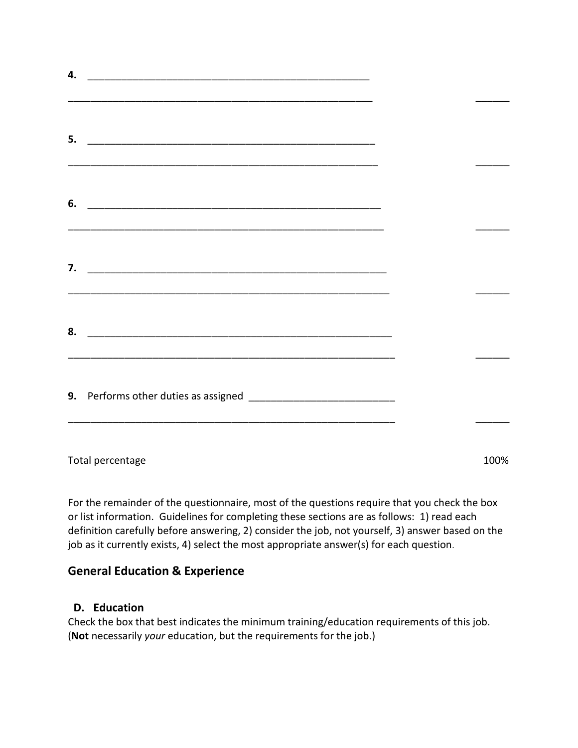| 4. |  |  |
|----|--|--|
| 5. |  |  |
|    |  |  |
| 6. |  |  |
| 7. |  |  |
| 8. |  |  |
|    |  |  |
|    |  |  |

Total percentage 100%

For the remainder of the questionnaire, most of the questions require that you check the box or list information. Guidelines for completing these sections are as follows: 1) read each definition carefully before answering, 2) consider the job, not yourself, 3) answer based on the job as it currently exists, 4) select the most appropriate answer(s) for each question.

# **General Education & Experience**

# **D. Education**

Check the box that best indicates the minimum training/education requirements of this job. (**Not** necessarily *your* education, but the requirements for the job.)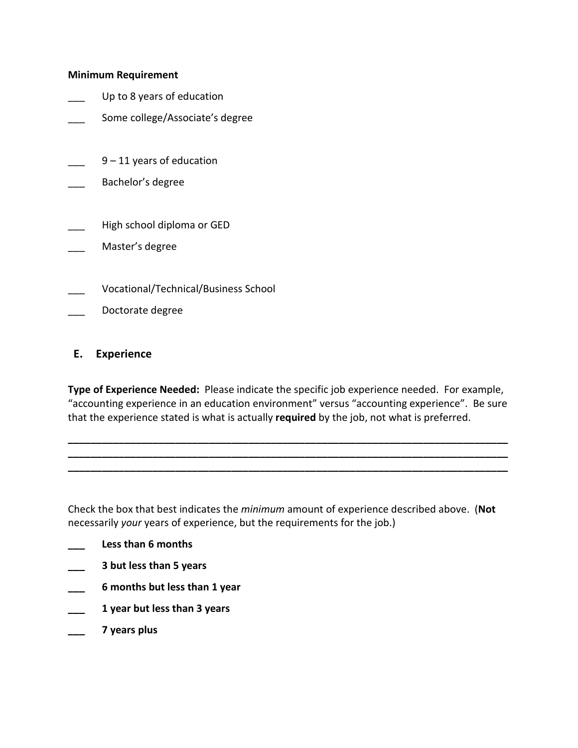#### **Minimum Requirement**

- Up to 8 years of education
- Some college/Associate's degree
- $9 11$  years of education
- \_\_\_ Bachelor's degree
- High school diploma or GED
- Master's degree
- \_\_\_ Vocational/Technical/Business School
- Doctorate degree

#### **E. Experience**

**Type of Experience Needed:** Please indicate the specific job experience needed. For example, "accounting experience in an education environment" versus "accounting experience". Be sure that the experience stated is what is actually **required** by the job, not what is preferred.

**\_\_\_\_\_\_\_\_\_\_\_\_\_\_\_\_\_\_\_\_\_\_\_\_\_\_\_\_\_\_\_\_\_\_\_\_\_\_\_\_\_\_\_\_\_\_\_\_\_\_\_\_\_\_\_\_\_\_\_\_\_\_\_\_\_\_\_\_\_\_\_\_\_\_\_\_\_\_ \_\_\_\_\_\_\_\_\_\_\_\_\_\_\_\_\_\_\_\_\_\_\_\_\_\_\_\_\_\_\_\_\_\_\_\_\_\_\_\_\_\_\_\_\_\_\_\_\_\_\_\_\_\_\_\_\_\_\_\_\_\_\_\_\_\_\_\_\_\_\_\_\_\_\_\_\_\_ \_\_\_\_\_\_\_\_\_\_\_\_\_\_\_\_\_\_\_\_\_\_\_\_\_\_\_\_\_\_\_\_\_\_\_\_\_\_\_\_\_\_\_\_\_\_\_\_\_\_\_\_\_\_\_\_\_\_\_\_\_\_\_\_\_\_\_\_\_\_\_\_\_\_\_\_\_\_**

Check the box that best indicates the *minimum* amount of experience described above. (**Not** necessarily *your* years of experience, but the requirements for the job.)

- **\_\_\_ Less than 6 months**
- **\_\_\_ 3 but less than 5 years**
- **\_\_\_ 6 months but less than 1 year**
- **\_\_\_ 1 year but less than 3 years**
- **\_\_\_ 7 years plus**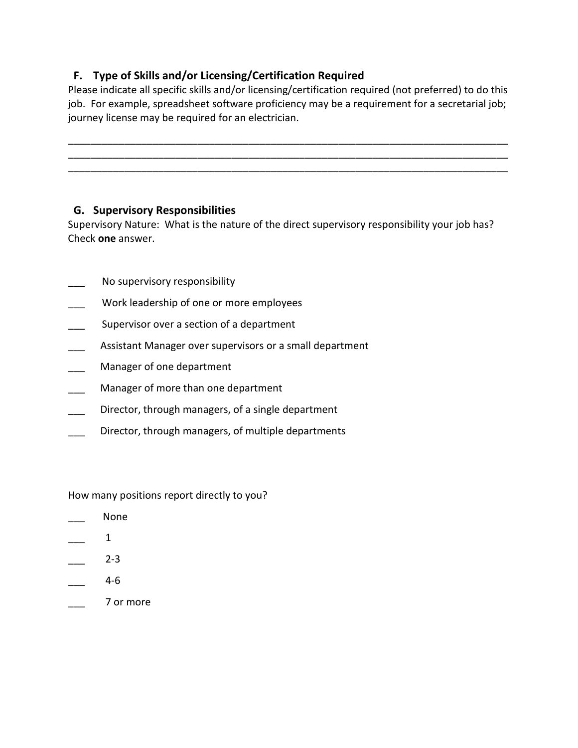# **F. Type of Skills and/or Licensing/Certification Required**

Please indicate all specific skills and/or licensing/certification required (not preferred) to do this job. For example, spreadsheet software proficiency may be a requirement for a secretarial job; journey license may be required for an electrician.

\_\_\_\_\_\_\_\_\_\_\_\_\_\_\_\_\_\_\_\_\_\_\_\_\_\_\_\_\_\_\_\_\_\_\_\_\_\_\_\_\_\_\_\_\_\_\_\_\_\_\_\_\_\_\_\_\_\_\_\_\_\_\_\_\_\_\_\_\_\_\_\_\_\_\_\_\_\_ \_\_\_\_\_\_\_\_\_\_\_\_\_\_\_\_\_\_\_\_\_\_\_\_\_\_\_\_\_\_\_\_\_\_\_\_\_\_\_\_\_\_\_\_\_\_\_\_\_\_\_\_\_\_\_\_\_\_\_\_\_\_\_\_\_\_\_\_\_\_\_\_\_\_\_\_\_\_ \_\_\_\_\_\_\_\_\_\_\_\_\_\_\_\_\_\_\_\_\_\_\_\_\_\_\_\_\_\_\_\_\_\_\_\_\_\_\_\_\_\_\_\_\_\_\_\_\_\_\_\_\_\_\_\_\_\_\_\_\_\_\_\_\_\_\_\_\_\_\_\_\_\_\_\_\_\_

# **G. Supervisory Responsibilities**

Supervisory Nature: What is the nature of the direct supervisory responsibility your job has? Check **one** answer.

- No supervisory responsibility
- Work leadership of one or more employees
- Supervisor over a section of a department
- Assistant Manager over supervisors or a small department
- Manager of one department
- Manager of more than one department
- Director, through managers, of a single department
- Director, through managers, of multiple departments

How many positions report directly to you?

- None
- $\mathbf 1$
- $2 3$
- $4-6$
- \_\_\_ 7 or more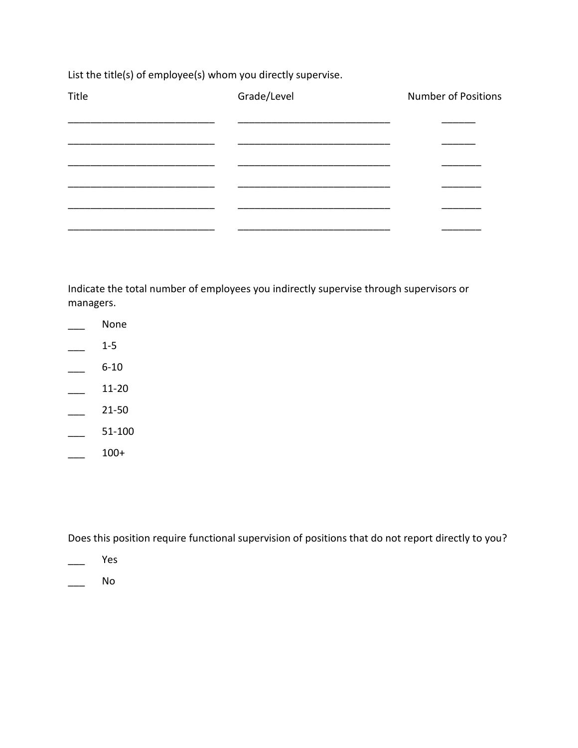List the title(s) of employee(s) whom you directly supervise.

| Title | Grade/Level | <b>Number of Positions</b> |
|-------|-------------|----------------------------|
|       |             |                            |
|       |             |                            |
|       |             |                            |
|       |             |                            |
|       |             |                            |
|       |             |                            |

Indicate the total number of employees you indirectly supervise through supervisors or managers.

- \_\_\_ None
- $\frac{1-5}{2}$
- $-6-10$
- $\frac{11-20}{2}$
- $\frac{21-50}{ }$
- $\frac{51-100}{ }$
- $\frac{100+}{2}$

Does this position require functional supervision of positions that do not report directly to you?

- \_\_\_ Yes
- $\overline{\phantom{a}}$  No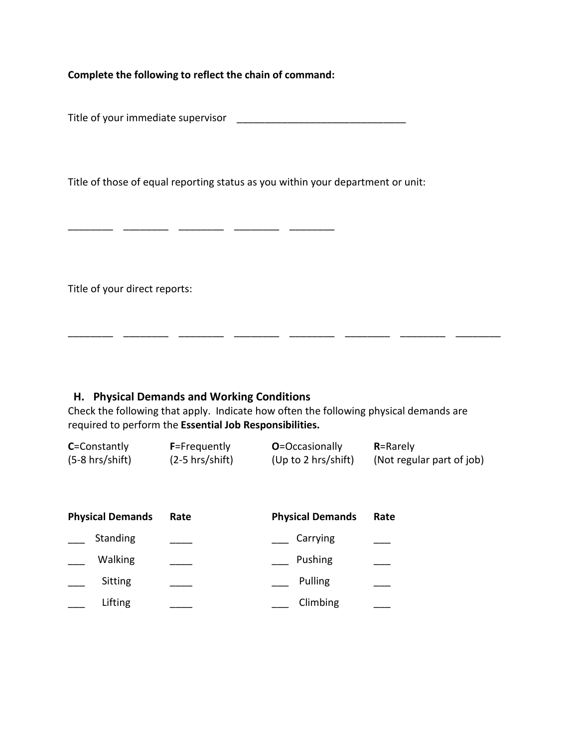**Complete the following to reflect the chain of command:** 

\_ \_\_\_\_\_\_\_\_ \_\_\_\_\_\_\_ \_\_\_\_\_\_\_ \_\_

Title of your immediate supervisor \_\_\_\_\_\_\_\_\_\_\_\_\_\_\_\_\_\_\_\_\_\_\_\_\_\_\_\_\_\_

Title of those of equal reporting status as you within your department or unit:

Title of your direct reports:

### **H. Physical Demands and Working Conditions**

Check the following that apply. Indicate how often the following physical demands are required to perform the **Essential Job Responsibilities.** 

\_\_\_\_\_\_\_\_ \_\_\_\_\_\_\_\_ \_\_\_\_\_\_\_\_ \_\_\_\_\_\_\_\_ \_\_\_\_\_\_\_\_ \_\_\_\_\_\_\_\_ \_\_\_\_\_\_\_\_ \_\_\_\_\_\_\_\_

| <b>C</b> =Constantly | <b>F</b> =Frequently | <b>O</b> =Occasionally | $R =$ Rarely              |
|----------------------|----------------------|------------------------|---------------------------|
| $(5-8)$ hrs/shift)   | $(2-5$ hrs/shift)    | (Up to 2 hrs/shift)    | (Not regular part of job) |

| <b>Physical Demands</b> | Rate | <b>Physical Demands</b> | Rate |
|-------------------------|------|-------------------------|------|
| Standing                |      | Carrying                |      |
| Walking                 |      | Pushing                 |      |
| Sitting                 |      | Pulling                 |      |
| Lifting                 |      | Climbing                |      |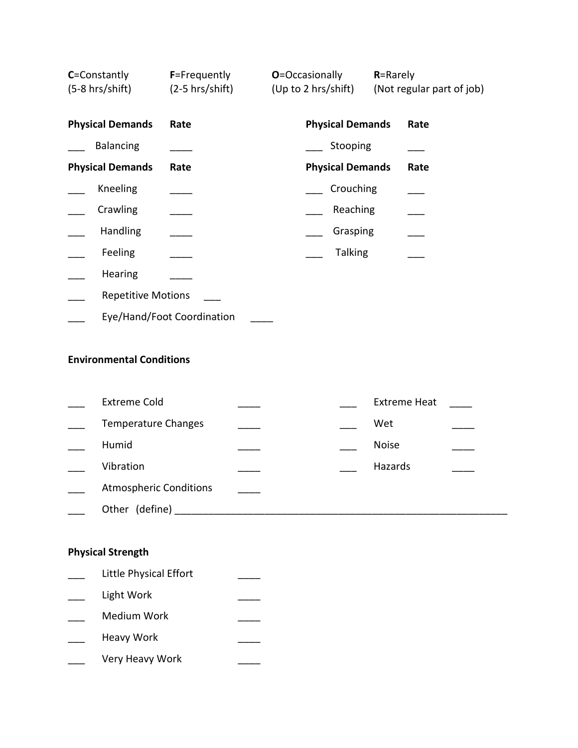| C=Constantly<br>(5-8 hrs/shift) | F=Frequently<br>$(2-5$ hrs/shift) | <b>O</b> =Occasionally<br>(Up to 2 hrs/shift) | R=Rarely | (Not regular part of job) |
|---------------------------------|-----------------------------------|-----------------------------------------------|----------|---------------------------|
| <b>Physical Demands</b>         | Rate                              | <b>Physical Demands</b>                       |          | Rate                      |
| <b>Balancing</b>                |                                   | Stooping                                      |          |                           |
| <b>Physical Demands</b>         | Rate                              | <b>Physical Demands</b>                       |          | Rate                      |
| Kneeling                        |                                   | Crouching                                     |          |                           |
| Crawling                        |                                   | Reaching                                      |          |                           |
| Handling                        |                                   | Grasping                                      |          |                           |
| Feeling                         |                                   | <b>Talking</b>                                |          |                           |
| <b>Hearing</b>                  |                                   |                                               |          |                           |
| <b>Repetitive Motions</b>       |                                   |                                               |          |                           |
|                                 | Eye/Hand/Foot Coordination        |                                               |          |                           |

# **Environmental Conditions**

| <b>Extreme Cold</b>           |  | <b>Extreme Heat</b> |  |
|-------------------------------|--|---------------------|--|
| <b>Temperature Changes</b>    |  | Wet                 |  |
| Humid                         |  | <b>Noise</b>        |  |
| Vibration                     |  | Hazards             |  |
| <b>Atmospheric Conditions</b> |  |                     |  |
| (define)<br>Other             |  |                     |  |

# **Physical Strength**

| Little Physical Effort |  |
|------------------------|--|
| Light Work             |  |
| Medium Work            |  |
| Heavy Work             |  |
| Very Heavy Work        |  |